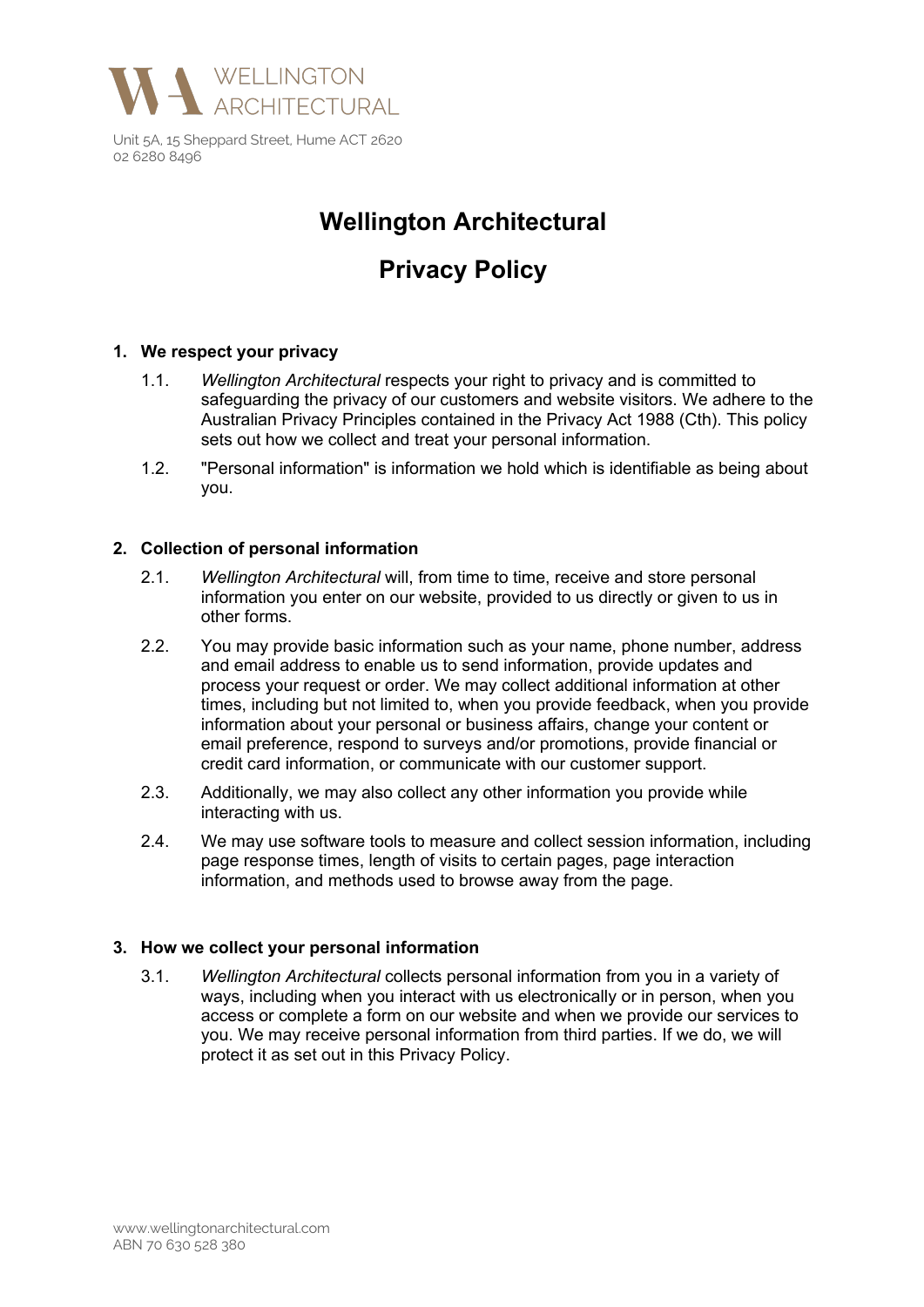

# **Wellington Architectural**

# **Privacy Policy**

## **1. We respect your privacy**

- 1.1. *Wellington Architectural* respects your right to privacy and is committed to safeguarding the privacy of our customers and website visitors. We adhere to the Australian Privacy Principles contained in the Privacy Act 1988 (Cth). This policy sets out how we collect and treat your personal information.
- 1.2. "Personal information" is information we hold which is identifiable as being about you.

#### **2. Collection of personal information**

- 2.1. *Wellington Architectural* will, from time to time, receive and store personal information you enter on our website, provided to us directly or given to us in other forms.
- 2.2. You may provide basic information such as your name, phone number, address and email address to enable us to send information, provide updates and process your request or order. We may collect additional information at other times, including but not limited to, when you provide feedback, when you provide information about your personal or business affairs, change your content or email preference, respond to surveys and/or promotions, provide financial or credit card information, or communicate with our customer support.
- 2.3. Additionally, we may also collect any other information you provide while interacting with us.
- 2.4. We may use software tools to measure and collect session information, including page response times, length of visits to certain pages, page interaction information, and methods used to browse away from the page.

#### **3. How we collect your personal information**

3.1. *Wellington Architectural* collects personal information from you in a variety of ways, including when you interact with us electronically or in person, when you access or complete a form on our website and when we provide our services to you. We may receive personal information from third parties. If we do, we will protect it as set out in this Privacy Policy.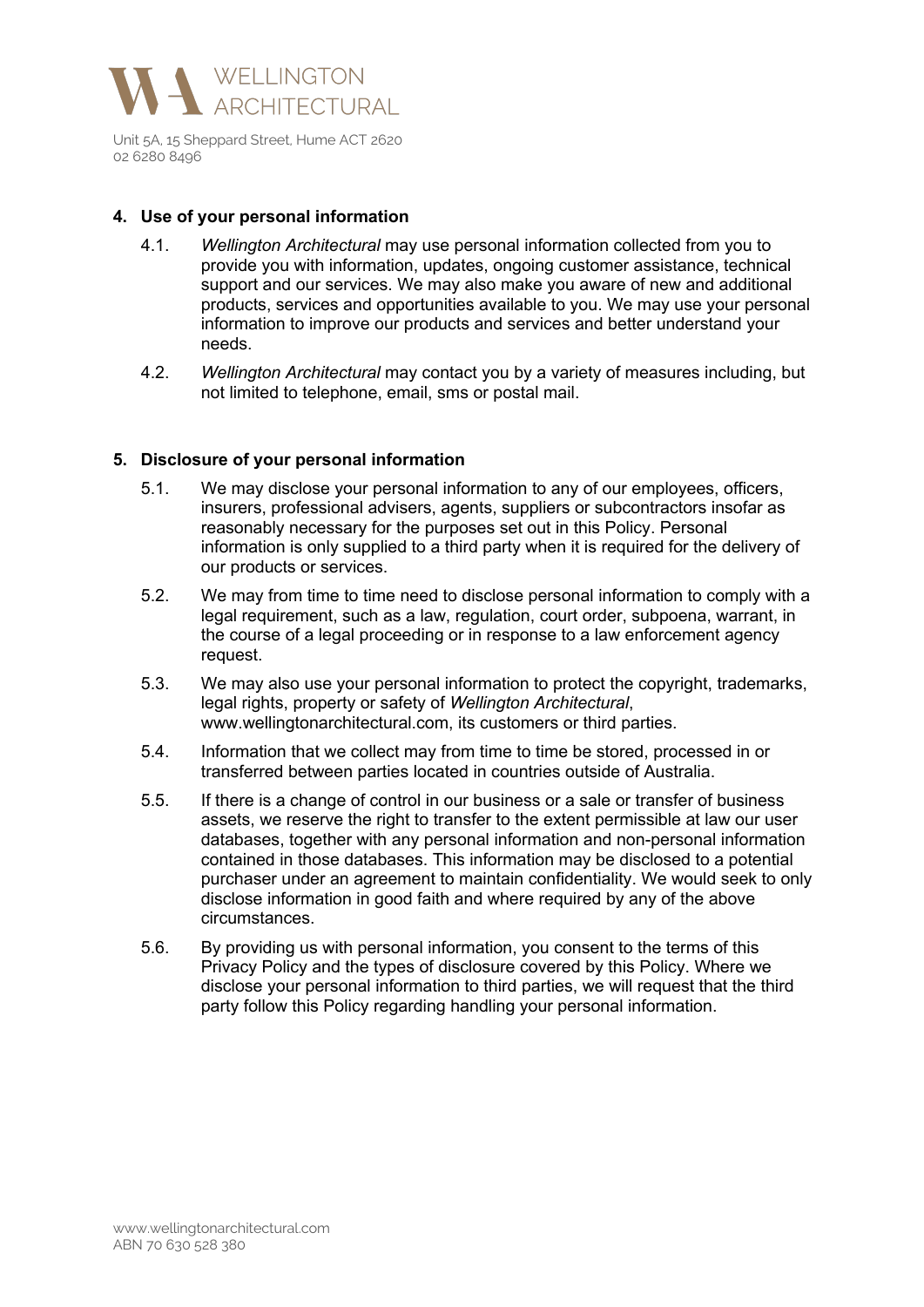

#### **4. Use of your personal information**

- 4.1. *Wellington Architectural* may use personal information collected from you to provide you with information, updates, ongoing customer assistance, technical support and our services. We may also make you aware of new and additional products, services and opportunities available to you. We may use your personal information to improve our products and services and better understand your needs.
- 4.2. *Wellington Architectural* may contact you by a variety of measures including, but not limited to telephone, email, sms or postal mail.

#### **5. Disclosure of your personal information**

- 5.1. We may disclose your personal information to any of our employees, officers, insurers, professional advisers, agents, suppliers or subcontractors insofar as reasonably necessary for the purposes set out in this Policy. Personal information is only supplied to a third party when it is required for the delivery of our products or services.
- 5.2. We may from time to time need to disclose personal information to comply with a legal requirement, such as a law, regulation, court order, subpoena, warrant, in the course of a legal proceeding or in response to a law enforcement agency request.
- 5.3. We may also use your personal information to protect the copyright, trademarks, legal rights, property or safety of *Wellington Architectural*, www.wellingtonarchitectural.com, its customers or third parties.
- 5.4. Information that we collect may from time to time be stored, processed in or transferred between parties located in countries outside of Australia.
- 5.5. If there is a change of control in our business or a sale or transfer of business assets, we reserve the right to transfer to the extent permissible at law our user databases, together with any personal information and non-personal information contained in those databases. This information may be disclosed to a potential purchaser under an agreement to maintain confidentiality. We would seek to only disclose information in good faith and where required by any of the above circumstances.
- 5.6. By providing us with personal information, you consent to the terms of this Privacy Policy and the types of disclosure covered by this Policy. Where we disclose your personal information to third parties, we will request that the third party follow this Policy regarding handling your personal information.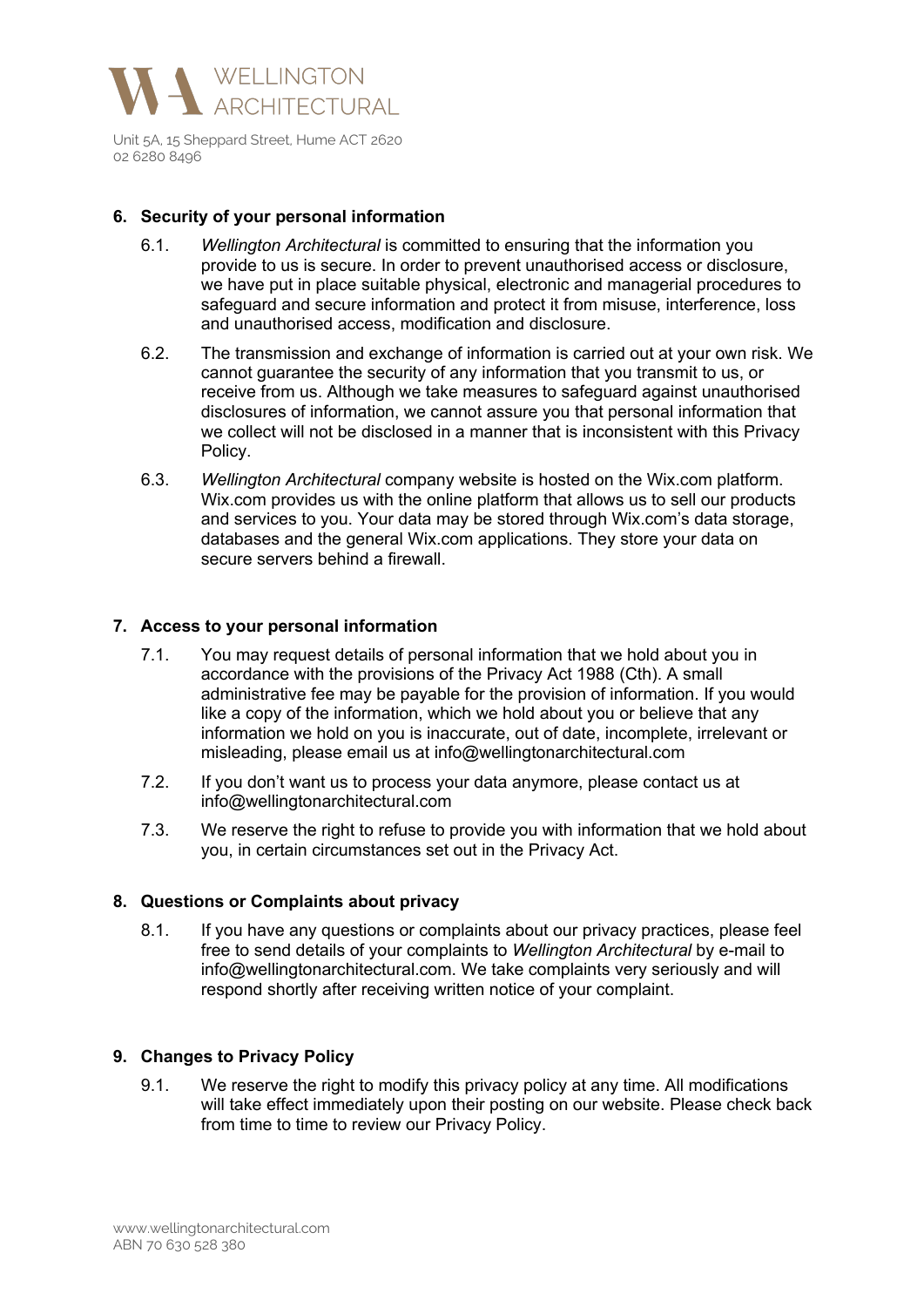

#### **6. Security of your personal information**

- 6.1. *Wellington Architectural* is committed to ensuring that the information you provide to us is secure. In order to prevent unauthorised access or disclosure, we have put in place suitable physical, electronic and managerial procedures to safeguard and secure information and protect it from misuse, interference, loss and unauthorised access, modification and disclosure.
- 6.2. The transmission and exchange of information is carried out at your own risk. We cannot guarantee the security of any information that you transmit to us, or receive from us. Although we take measures to safeguard against unauthorised disclosures of information, we cannot assure you that personal information that we collect will not be disclosed in a manner that is inconsistent with this Privacy Policy.
- 6.3. *Wellington Architectural* company website is hosted on the Wix.com platform. Wix.com provides us with the online platform that allows us to sell our products and services to you. Your data may be stored through Wix.com's data storage, databases and the general Wix.com applications. They store your data on secure servers behind a firewall

#### **7. Access to your personal information**

- 7.1. You may request details of personal information that we hold about you in accordance with the provisions of the Privacy Act 1988 (Cth). A small administrative fee may be payable for the provision of information. If you would like a copy of the information, which we hold about you or believe that any information we hold on you is inaccurate, out of date, incomplete, irrelevant or misleading, please email us at info@wellingtonarchitectural.com
- 7.2. If you don't want us to process your data anymore, please contact us at info@wellingtonarchitectural.com
- 7.3. We reserve the right to refuse to provide you with information that we hold about you, in certain circumstances set out in the Privacy Act.

#### **8. Questions or Complaints about privacy**

8.1. If you have any questions or complaints about our privacy practices, please feel free to send details of your complaints to *Wellington Architectural* by e-mail to info@wellingtonarchitectural.com. We take complaints very seriously and will respond shortly after receiving written notice of your complaint.

#### **9. Changes to Privacy Policy**

9.1. We reserve the right to modify this privacy policy at any time. All modifications will take effect immediately upon their posting on our website. Please check back from time to time to review our Privacy Policy.